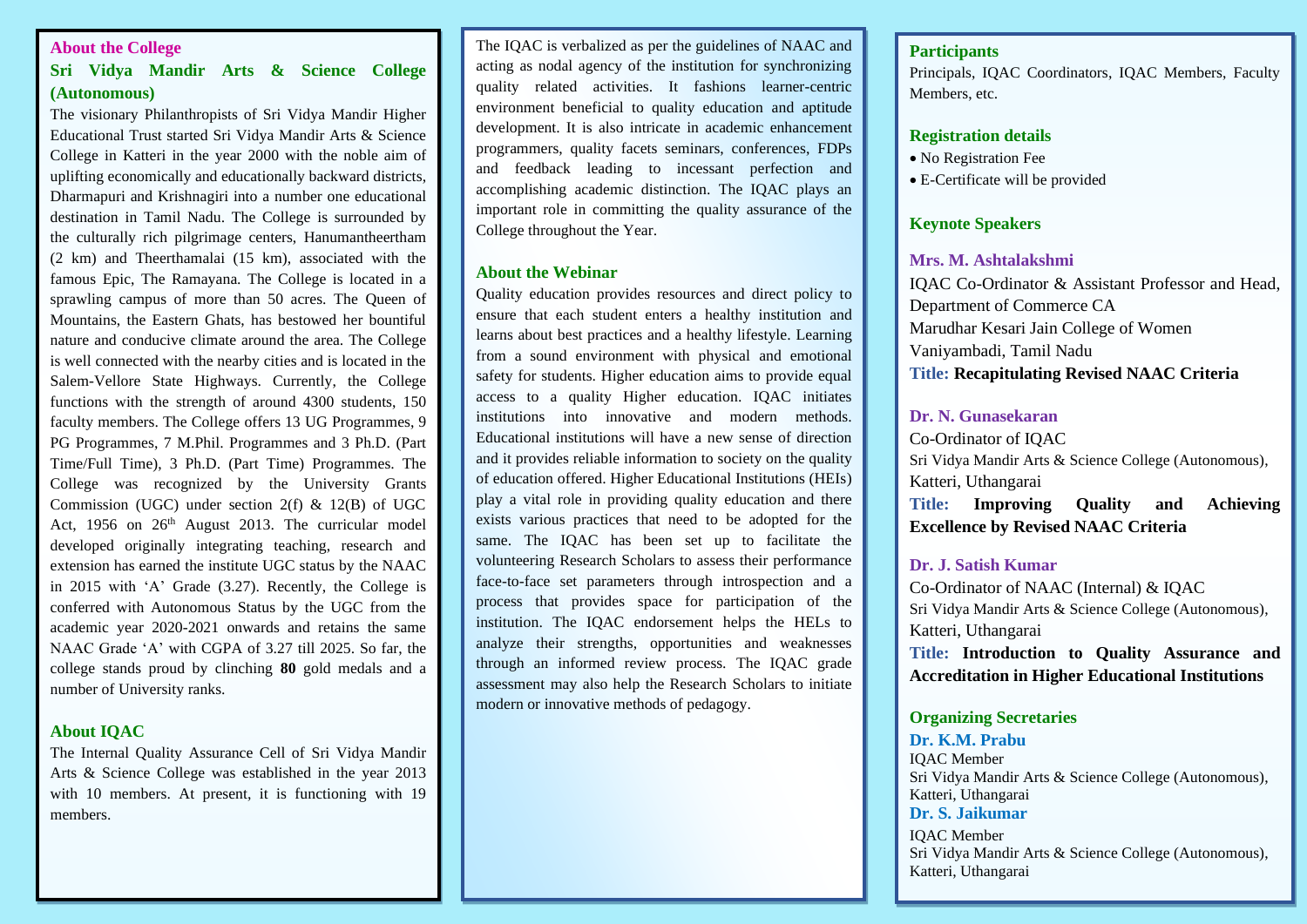# **About the College**

# **Sri Vidya Mandir Arts & Science College (Autonomous)**

The visionary Philanthropists of Sri Vidya Mandir Higher Educational Trust started Sri Vidya Mandir Arts & Science College in Katteri in the year 2000 with the noble aim of uplifting economically and educationally backward districts, Dharmapuri and Krishnagiri into a number one educational destination in Tamil Nadu. The College is surrounded by the culturally rich pilgrimage centers, Hanumantheertham (2 km) and Theerthamalai (15 km), associated with the famous Epic, The Ramayana. The College is located in a sprawling campus of more than 50 acres. The Queen of Mountains, the Eastern Ghats, has bestowed her bountiful nature and conducive climate around the area. The College is well connected with the nearby cities and is located in the Salem-Vellore State Highways. Currently, the College functions with the strength of around 4300 students, 150 faculty members. The College offers 13 UG Programmes, 9 PG Programmes, 7 M.Phil. Programmes and 3 Ph.D. (Part Time/Full Time), 3 Ph.D. (Part Time) Programmes. The College was recognized by the University Grants Commission (UGC) under section  $2(f)$  &  $12(B)$  of UGC Act, 1956 on  $26<sup>th</sup>$  August 2013. The curricular model developed originally integrating teaching, research and extension has earned the institute UGC status by the NAAC in 2015 with 'A' Grade (3.27). Recently, the College is conferred with Autonomous Status by the UGC from the academic year 2020-2021 onwards and retains the same NAAC Grade 'A' with CGPA of 3.27 till 2025. So far, the college stands proud by clinching **80** gold medals and a number of University ranks.

# **About IQAC**

The Internal Quality Assurance Cell of Sri Vidya Mandir Arts & Science College was established in the year 2013 with 10 members. At present, it is functioning with 19 members.

The IQAC is verbalized as per the guidelines of NAAC and acting as nodal agency of the institution for synchronizing quality related activities. It fashions learner-centric environment beneficial to quality education and aptitude development. It is also intricate in academic enhancement programmers, quality facets seminars, conferences, FDPs and feedback leading to incessant perfection and accomplishing academic distinction. The IQAC plays an important role in committing the quality assurance of the College throughout the Year.

#### **About the Webinar**

Quality education provides resources and direct policy to ensure that each student enters a healthy institution and learns about best practices and a healthy lifestyle. Learning from a sound environment with physical and emotional safety for students. Higher education aims to provide equal access to a quality Higher education. IQAC initiates institutions into innovative and modern methods. Educational institutions will have a new sense of direction and it provides reliable information to society on the quality of education offered. Higher Educational Institutions (HEIs) play a vital role in providing quality education and there exists various practices that need to be adopted for the same. The IQAC has been set up to facilitate the volunteering Research Scholars to assess their performance face-to-face set parameters through introspection and a process that provides space for participation of the institution. The IQAC endorsement helps the HELs to analyze their strengths, opportunities and weaknesses through an informed review process. The IQAC grade assessment may also help the Research Scholars to initiate modern or innovative methods of pedagogy.

## **Participants**

Principals, IQAC Coordinators, IQAC Members, Faculty Members, etc.

#### **Registration details**

- No Registration Fee
- E-Certificate will be provided

# **Keynote Speakers**

## **Mrs. M. Ashtalakshmi**

IQAC Co-Ordinator & Assistant Professor and Head, Department of Commerce CA Marudhar Kesari Jain College of Women Vaniyambadi, Tamil Nadu **Title: Recapitulating Revised NAAC Criteria**

## **Dr. N. Gunasekaran**

Co-Ordinator of IQAC Sri Vidya Mandir Arts & Science College (Autonomous), Katteri, Uthangarai **Title: Improving Quality and Achieving Excellence by Revised NAAC Criteria**

# **Dr. J. Satish Kumar**

Co-Ordinator of NAAC (Internal) & IQAC Sri Vidya Mandir Arts & Science College (Autonomous), Katteri, Uthangarai **Title: Introduction to Quality Assurance and Accreditation in Higher Educational Institutions**

## **Organizing Secretaries**

**Dr. K.M. Prabu** IQAC Member Sri Vidya Mandir Arts & Science College (Autonomous), Katteri, Uthangarai **Dr. S. Jaikumar**

IQAC Member Sri Vidya Mandir Arts & Science College (Autonomous), Katteri, Uthangarai